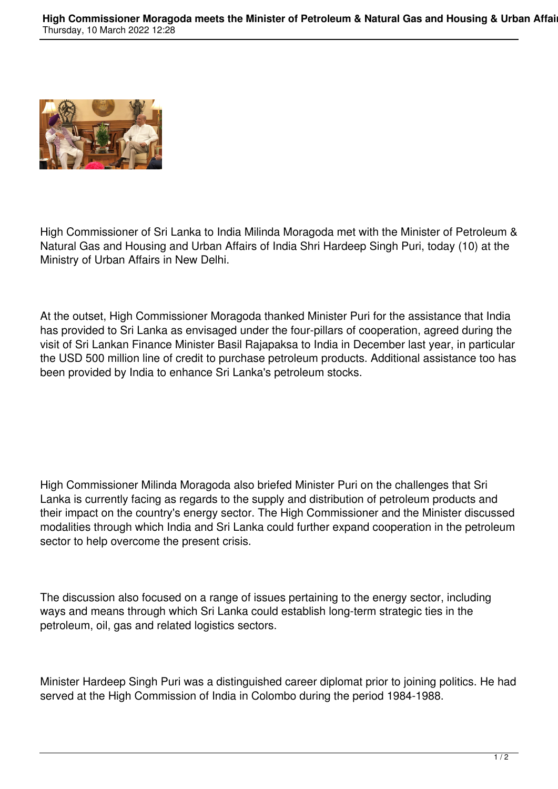

High Commissioner of Sri Lanka to India Milinda Moragoda met with the Minister of Petroleum & Natural Gas and Housing and Urban Affairs of India Shri Hardeep Singh Puri, today (10) at the Ministry of Urban Affairs in New Delhi.

At the outset, High Commissioner Moragoda thanked Minister Puri for the assistance that India has provided to Sri Lanka as envisaged under the four-pillars of cooperation, agreed during the visit of Sri Lankan Finance Minister Basil Rajapaksa to India in December last year, in particular the USD 500 million line of credit to purchase petroleum products. Additional assistance too has been provided by India to enhance Sri Lanka's petroleum stocks.

High Commissioner Milinda Moragoda also briefed Minister Puri on the challenges that Sri Lanka is currently facing as regards to the supply and distribution of petroleum products and their impact on the country's energy sector. The High Commissioner and the Minister discussed modalities through which India and Sri Lanka could further expand cooperation in the petroleum sector to help overcome the present crisis.

The discussion also focused on a range of issues pertaining to the energy sector, including ways and means through which Sri Lanka could establish long-term strategic ties in the petroleum, oil, gas and related logistics sectors.

Minister Hardeep Singh Puri was a distinguished career diplomat prior to joining politics. He had served at the High Commission of India in Colombo during the period 1984-1988.